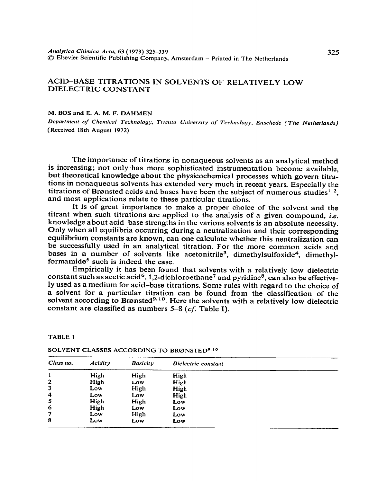# ACID-BASE TITRATIONS IN SOLVENTS **OF** RELATIVELY LOW DIELECTRIC CONSTANT

**M. BOS and E. A. M. F. DAHMEN** 

*Department of Chemical Technology, Twente University of Technology, Enschede (The Netherlands)* **(Received 18th August 1972)** 

The importance of titrations in nonaqueous solvents as an analytical method is increasing; not only has more sophisticated instrumentation become available, but theoretical knowledge about the physicochemical processes which govern titrations in nonaqueous solvents has extended very much in recent years. Especially the titrations of Brønsted acids and bases have been the subject of numerous studies<sup>1.2</sup>. and most applications relate to these particular titrations.

It is of great importance to make a proper choice of the solvent and the titrant when such titrations are applied to the analysis of a given compound, *i.e.*  knowledge about acid-base strengths in the various solvents is an absolute necessity. Only when all equilibria occurring during a neutralization and their corresponding equilibrium constants are known, can one calculate whether this neutralization can be successfully used in an analytical titration. For the more common acids and bases in a number of solvents like acetonitrile<sup>3</sup>, dimethylsulfoxide<sup>4</sup>, dimethylformamide<sup>5</sup> such is indeed the case.

Empirically it has been found that solvents with a relatively low dielectric constant such as acetic acid<sup>6</sup>, 1,2-dichloroethane<sup>7</sup> and pyridine<sup>8</sup>, can also be effectively used as a medium for acid-base titrations. Some rules with regard to the choice of a solvent for a particular titration can be found from the classification of the solvent according to Brønsted<sup>9.10</sup>. Here the solvents with a relatively low dielectric constant are classified as numbers  $5-8$  (cf. Table I).

| Class no.        | Acidity | <b>Basicity</b> | Dielectric constant |  |
|------------------|---------|-----------------|---------------------|--|
| 1                | High    | High            | High                |  |
| $\overline{2}$   | High    | Low             | High                |  |
| 3                | Low     | High            | High                |  |
| $\boldsymbol{4}$ | Low     | Low             | High                |  |
| 5                | High    | High            | Low                 |  |
| 6                | High    | Low             | Low                 |  |
| 7                | Low     | High            | Low                 |  |
| 8                | Low     | Low             | Low                 |  |

**TABLE I** 

**SOLVENT CLASSES ACCORDING TO BRØNSTED<sup>9,10</sup>**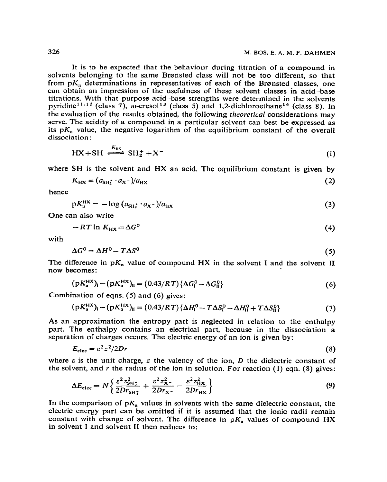It is to be expected that the behaviour during titration of a compound in solvents belonging to the same Brønsted class will not be too different, so that from  $pK_a$  determinations in representatives of each of the Brønsted classes, one can obtain an impression of the usefulness of these solvent classes in acid.-base titrations. With that purpose acid-base strengths were determined in the solvents pyridine<sup>11.12</sup> (class 7), m-cresol<sup>13</sup> (class 5) and 1,2-dichloroethane<sup>14</sup> (class 8). In the evaluation of the results obtained, the following theoretical considerations may serve. The acidity of a compound in a particular solvent can best be expressed as its  $pK_a$  value, the negative logarithm of the equilibrium constant of the overall dissociation :

$$
HX + SH \xrightarrow{K_{\text{H}x}} SH_2^+ + X^-
$$
 (1)

where SH is the solvent and HX an acid. The equilibrium constant is given by

$$
K_{\rm HX} = (a_{\rm SI12} \cdot a_{\rm X} - )/a_{\rm HX} \tag{2}
$$

hence

$$
pK_{\mu}^{\rm HX} = -\log \left( a_{\rm SH_2^{\star}} \cdot a_{\rm X^{\star}} \right) / a_{\rm HX} \tag{3}
$$

One can also write

$$
-RT \ln K_{\text{H}X} = \Delta G^0 \tag{4}
$$

with

$$
\Delta G^0 = \Delta H^0 - T\Delta S^0 \tag{5}
$$

The difference in  $pK_a$  value of compound HX in the solvent I and the solvent II now becomes :

$$
(pK_a^{HX})_I - (pK_a^{HX})_{II} = (0.43/RT)\{\Delta G_I^0 - \Delta G_{II}^0\}
$$
 (6)

Combination of eqns. (5) and (6) gives:

 $\ddot{\phantom{a}}$ 

$$
(pK_a^{HX})_I - (pK_a^{HX})_{II} = (0.43/RT)\{\Delta H_I^0 - T\Delta S_I^0 - \Delta H_{II}^0 + T\Delta S_{II}^0\}
$$
 (7)

**As** an approximation the entropy part is neglected in relation to the enthalpy part. The enthaipy contains an electrical part, because in the dissociation a separation of charges occurs. The electric energy of an ion is given by:

$$
E_{\rm elec} = \varepsilon^2 z^2 / 2Dr \tag{8}
$$

where  $\varepsilon$  is the unit charge, z the valency of the ion, D the dielectric constant of the solvent, and r the radius of the ion in solution. For reaction  $(1)$  eqn.  $(8)$  gives:

$$
\Delta E_{\text{elec}} = N \left\{ \frac{\varepsilon^2 z_{\text{SH}}^2}{2Dr_{\text{SH}}_1} + \frac{\varepsilon^2 z_{\text{X}}^2}{2Dr_{\text{X}}_2} - \frac{\varepsilon^2 z_{\text{HX}}^2}{2Dr_{\text{HX}}} \right\} \tag{9}
$$

In the comparison of  $pK_a$  values in solvents with the same dielectric constant, the electric energy part can be omitted if it is assumed that the ionic radii remain constant with change of solvent. The difference in  $pK_a$  values of compound HX in solvent I and solvent II then reduces to: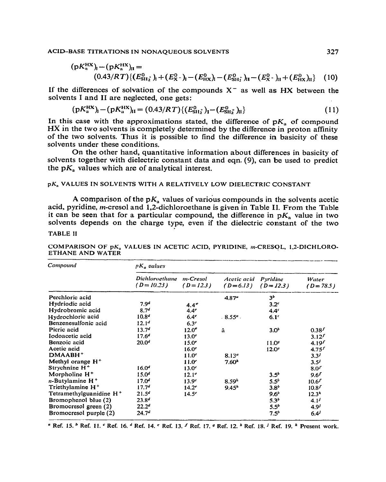$$
(pK_n^{HX})_1 - (pK_n^{HX})_{II} = (0.43/RT)\{(E_{SH_2}^0)_1 + (E_X^0)_1 - (E_{H_X}^0)_1 - (E_{SH_2}^0)_1I - (E_X^0)_1 + (E_{H_X}^0)_1I\}
$$
 (10)

If the differences of solvation of the compounds  $X^-$  as well as HX between the solvents I and II are neglected, one gets:

$$
(pK_a^{HX})_1 - (pK_a^{HX})_{II} = (0.43/RT)\{(E_{SH_2}^0)_1 - (E_{SH_2}^0)_II\}
$$
 (11)

In this case with the approximations stated, the difference of  $pK_a$  of compound HX in the two solvents is completely determined by the difference in proton affinity of the two solvents. Thus it is possible to find the difference in basicity of these solvents under these conditions.

On the other hand, quantitative information about differences in basicity of solvents together with dielectric constant data and eqn. (9), can be used to predict the  $pK_a$  values which are of analytical interest.

# **pK, VALUES IN SOLVENTS WITH A RELATIVELY LOW DIELECTRIC CONSTANT**

A comparison of the  $pK<sub>n</sub>$  values of various compounds in the solvents acetic acid, pyridine, m-cresol and 1,2-dichloroethane is given in Table II. From the Table it can be seen that for a particular compound, the difference in  $pK_a$  value in two solvents depends on the charge type, even if the dielectric constant of the two

# **TABLE II**

COMPARISON OF pK<sub>a</sub> VALUES IN ACETIC ACID, PYRIDINE, m-CRESOL, 1,2-DICHLORO-**ETHANE AND WATER** 

| Compound                            | $pK_a$ values                            |                   |                           |                          |                       |  |
|-------------------------------------|------------------------------------------|-------------------|---------------------------|--------------------------|-----------------------|--|
|                                     | Dichloroethane m-Cresol<br>$(D = 10.23)$ | $(D=12.3)$        | Acetic acid<br>$(D=6.13)$ | Pyridine<br>$(D = 12.3)$ | Water<br>$(D = 78.5)$ |  |
| Perchloric acid                     |                                          |                   | $4.87^{\circ}$            | 3 <sup>b</sup>           |                       |  |
| Hydriodic acid                      | 7.9 <sup>d</sup>                         | $4.4^e$           |                           | 3.2 <sup>c</sup>         |                       |  |
| Hydrobromic acid                    | 8.74                                     | 4.4 <sup>e</sup>  |                           | 4.4 <sup>c</sup>         |                       |  |
| Hydrochloric acid                   | 10.8 <sup>4</sup>                        | $6.4^\circ$       | $.8.55a$ .                | 6.1 <sup>c</sup>         |                       |  |
| Benzenesulfonic acid                | 12.1 <sup>d</sup>                        | $6.3^\circ$       |                           |                          |                       |  |
| Picric acid                         | 13.7 <sup>d</sup>                        | 12.0 <sup>e</sup> | â                         | 3.0 <sup>b</sup>         | $0.38^{f}$            |  |
| Iodoacetic acid                     | $17.6^{d}$                               | 13.0 <sup>e</sup> |                           |                          | $3.12^{f}$            |  |
| Benzoic acid                        | 20.0 <sup>d</sup>                        | 15.0 <sup>e</sup> |                           | 11.0 <sup>g</sup>        | $4.19^{f}$            |  |
| Acetic acid                         |                                          | 16.0 <sup>e</sup> |                           | 12.0 <sup>9</sup>        | $4.75^{f}$            |  |
| $DMAABH+$                           |                                          | 11.0 <sup>e</sup> | 8.13 <sup>a</sup>         |                          | $3.3^{j}$             |  |
| Methyl orange $H^+$                 |                                          | 11.0 <sup>c</sup> | $7.60*$                   |                          | 3.5'                  |  |
| Strychnine $H^+$                    | 16.0 <sup>d</sup>                        | 13.0 <sup>c</sup> |                           |                          | 8.0 <sup>2</sup>      |  |
| Morpholine H <sup>+</sup>           | $15.0^{4}$                               | $12.1^{\circ}$    |                           | $3.5^{b}$                | 9.6 <sup>f</sup>      |  |
| <i>n</i> -Butylamine $H^+$          | $17.0^{4}$                               | 13.9 <sup>e</sup> | 8.59 <sup>h</sup>         | $5.5^b$                  | 10.6 <sup>f</sup>     |  |
| Triethylamine $H^+$                 | 17.74                                    | $14.2^{\circ}$    | 9.45 <sup>h</sup>         | 3.8 <sup>b</sup>         | 10.8 <sup>f</sup>     |  |
| Tetramethylguanidine H <sup>+</sup> | 21.5 <sup>d</sup>                        | $14.5^\circ$      |                           | $9.6^b$                  | $12.3^k$              |  |
| Bromophenol blue (2)                | $23.8^{d}$                               |                   |                           | $5.3^{b}$                | $4.1^{j}$             |  |
| Bromocresol green (2)               | 22.2 <sup>d</sup>                        |                   |                           | $5.5^{b}$                | $4.9^{j}$             |  |
| Bromocresol purple (2)              | 24.7 <sup>d</sup>                        |                   |                           | 7.5 <sup>b</sup>         | 6.4'                  |  |

**u Ref. 15. b Ref. If. c Ref. 16. d Ref. 14. c Ref. 13. ' Ref. 17. u Ref. 12. \* Ref. 18. J Ref. 19. k Present work.**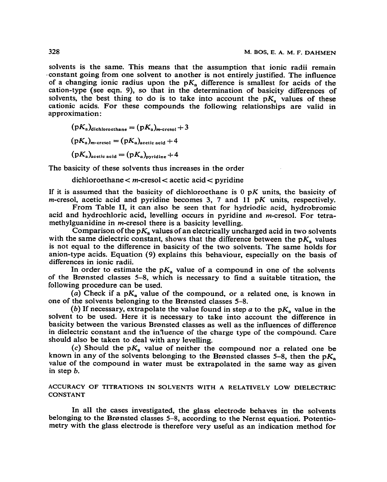solvents is the same. This means that the assumption that ionic radii remain ..constant going from one solvent to another is not entirely justified. The influence of a changing ionic radius upon the  $pK<sub>a</sub>$  difference is smallest for acids of the cation-type (see eqn. 9), so that in the determination of basicity differences of solvents, the best thing to do is to take into account the  $pK_a$  values of these cationic acids. For these compounds the following relationships are valid in approximation:

 $(pK_a)$ dichlorocthane  $=(pK_a)_{m\text{-}crossol}+3$  $(pK_a)_{m\text{-crossol}} = (pK_a)_{\text{acctic acid}} + 4$  $(pK_a)_{\text{acetic acid}} = (pK_a)_{\text{ovridine}} + 4$ 

The basicity of these solvents thus increases in the order

 $dichloroethane < m-cresol < acetic acid < pyridine$ 

If it is assumed that the basicity of dichloroethane is  $0 \, pK$  units, the basicity of m-cresol, acetic acid and pyridine becomes 3, 7 and 11  $pK$  units, respectively.

From Table II, it can also be seen that for hydriodic acid, hydrobromic acid and hydrochloric acid, levelling occurs in pyridine and m-cresol. For tetramethylguanidine in m-cresol there is a basicity levelling.

Comparison of the p $K_a$  values of an electrically uncharged acid in two solvents with the same dielectric constant, shows that the difference between the  $pK_a$  values is not equal to the difference in basicity of the two solvents. The same holds for anion-type acids. Equation (9) explains this behaviour, especially on the basis of differences in ionic radii.

In order to estimate the  $pK_a$  value of a compound in one of the solvents of the Brernsted classes 5-8, which is necessary to find a suitable titration, the following procedure can be used.

(a) Check if a  $pK_a$  value of the compound, or a related one, is known in one of the solvents belonging to the Brensted classes 5-8.

(b) If necessary, extrapolate the value found in step  $a$  to the  $pK<sub>a</sub>$  value in the solvent to be used. Here it is necessary to take into account the difference in basicity between the various Brønsted classes as well as the influences of difference in dielectric constant and the in'luence of the charge type of the compbund. Care should also be taken to deal with any levelling.

(c) Should the  $pK_a$  value of neither the compound nor a related one be known in any of the solvents belonging to the Brønsted classes 5-8, then the  $pK_n$ value of the compound in water must be extrapolated in the same way as given in step *b.* 

**ACCURACY OF TITRATIONS IN SOLVENTS WITH A RELATIVELY LOW DIELECTRIC CONSTANT** 

In all the cases investigated, the glass electrode behaves in the solvents belonging to the Brønsted classes 5–8, according to the Nernst equation. Potentiometry with the glass electrode is therefore very useful as an indication method for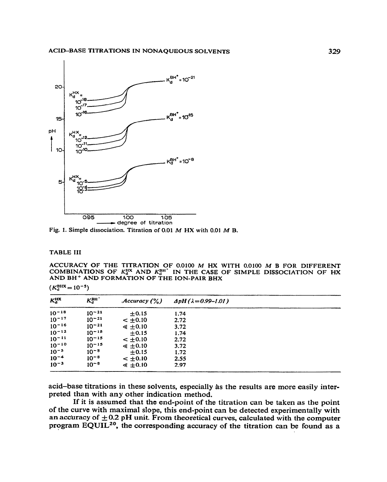

Fig. 1. Simple dissociation. Titration of 0.01 M HX with 0.01 M B.

## **TABLE III**

ACCURACY OF THE TITRATION OF 0.0100 M HX WITH 0.0100 M B FOR DIFFERENT COMBINATIONS OF  $K_d^{\text{HX}}$  AND  $K_d^{\text{BH'}}$  in the case of simple dissociation of HX and BH<sup>+</sup> and formation of the ion-pair BHx

| $K_d^{\rm HX}$ | $K_d^{\rm BH}$ | Accuracy (%)    | $\Delta pH (\lambda = 0.99 - 1.01)$ |  |
|----------------|----------------|-----------------|-------------------------------------|--|
| $10^{-18}$     | $10^{-21}$     | ±0.15           | 1.74                                |  |
| $10^{-17}$     | $10^{-21}$     | $< +0.10$       | 2.72                                |  |
| $10^{-16}$     | $10^{-21}$     | $\leq 0.10$     | 3.72                                |  |
| $10^{-12}$     | $10^{-15}$     | $\pm 0.15$      | 1.74                                |  |
| $10^{-11}$     | $10^{-15}$     | $-10.10$        | 2.72                                |  |
| $10^{-10}$     | $10^{-15}$     | $\leq \pm 0.10$ | 3.72                                |  |
| $10^{-5}$      | $10^{-8}$      | $\pm 0.15$      | 1.72                                |  |
| $10^{-4}$      | $10^{-8}$      | $< \pm 0.10$    | 2.55                                |  |
| $10^{-3}$      | $10^{-8}$      | $\leq \pm 0.10$ | 2.97                                |  |

acid-base titrations in these solvents, especially as the results are more easily interpreted than with any other indication method.

If it is assumed that the end-point of the titration can be taken as the point of the curve with maximal slope, this end-point can be detected experimentally with an accuracy of  $\pm 0.2$  pH unit. From theoretical curves, calculated with the computer program EQUIL<sup>20</sup>, the corresponding accuracy of the titration can be found as a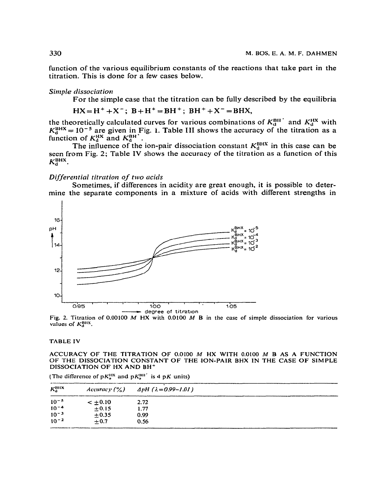function of the various equilibrium constants of the reactions that take part in the titration. This is done for a few cases below.

## Simple dissociation

For the simple case that the titration can be fully described by the equilibria

 $HX = H^+ + X^-$ ;  $B + H^+ = BH^+$ ;  $BH^+ + X^- = BHX$ ,

the theoretically calculated curves for various combinations of  $K_d^{\text{BH}}$  and  $K_d^{\text{HX}}$  with  $K_d^{\text{BHX}} = 10^{-5}$  are given in Fig. 1. Table III shows the accuracy of the titration as a function of  $K_d^{\text{HX}}$  and  $K_d^{\text{BH$ 

The influence of the ion-pair dissociation constant  $K_d^{\text{BHX}}$  in this case can be seen from Fig. 2; Table IV shows the accuracy of the titration as a function of this  $K_d^{\text{BHX}}$ .

#### Differential titration of two acids

Sometimes, if differences in acidity are great enough, it is possible to determine the separate components in a mixture of acids with different strengths in



Fig. 2. Titration of 0.00100 M HX with 0.0100 M B in the case of simple dissociation for various values of  $K_a^{\text{BHX}}$ .

#### **TABLE IV**

#### ACCURACY OF THE TITRATION OF 0.0100 M HX WITH 0.0100 M B AS A FUNCTION OF THE DISSOCIATION CONSTANT OF THE ION-PAIR BHX IN THE CASE OF SIMPLE DISSOCIATION OF HX AND BH<sup>+</sup>

| $K_{\alpha}^{\text{HIX}}$ | Accuracy $($ % $)$ | $\Delta pH$ ( $\lambda = 0.99 - 1.01$ ) |  |
|---------------------------|--------------------|-----------------------------------------|--|
| $10^{-5}$                 | $\leq \pm 0.10$    | 2.72                                    |  |
| $10^{-4}$                 | ±0.15              | 1.77                                    |  |
| $10^{-3}$                 | $+0.35$            | 0.99                                    |  |
| $10^{-2}$                 | $+0.7$             | 0.56                                    |  |

(The difference of  $pK_a^{\text{HK}}$  and  $pK_a^{\text{BH}}$  is 4 pK units)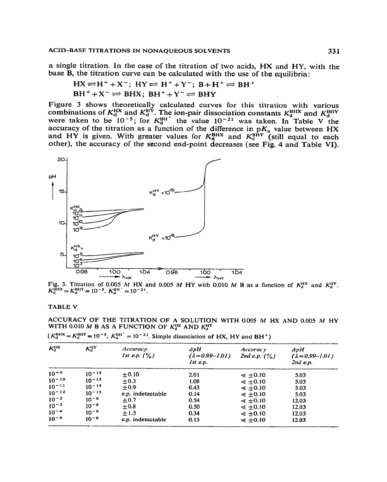a single titration. In the case of the titration of two acids, HX and HY, with the base B, the titration curve can be calculated with the use of the equilibria:

$$
HX \rightleftharpoons H^+ + X^-; \quad HY \rightleftharpoons H^+ + Y^-; \quad B + H^+ \rightleftharpoons BH^+ \quad BH^+ + X^- \rightleftharpoons BHX; \quad BH^+ + Y^- \rightleftharpoons BHY
$$

Figure 3 shows theoretically calculated curves for this titration with various<br>combinations of  $K_d^{\text{HX}}$  and  $K_d^{\text{HY}}$ . The ion-pair dissociation constants  $K_d^{\text{BUX}}$  and  $K_d^{\text{BHY}}$ <br>were taken to be 10<sup>-5</sup>; for  $K_d^{\text$ 



Fig. 3. Titration of 0.005 M HX and 0.005 M HY with 0.010 M B as a function of  $K_d^{\text{HX}}$  and  $K_d^{\text{HY}} = K_d^{\text{BHY}} = 10^{-5}$ ,  $K_d^{\text{BH}} = 10^{-21}$ .

#### **TABLE V**

ACCURACY OF THE TITRATION OF A SOLUTION WITH 0.005 M HX AND 0.005 M HY WITH 0.010 M B AS A FUNCTION OF  $K_d^{\text{HX}}$  AND  $K_d^{\text{HY}}$ 

|  | $(K_d^{\text{BHX}} = K_d^{\text{BHY}} = 10^{-5}$ , $K_d^{\text{BH}} = 10^{-21}$ . Simple dissociation of HX, HY and BH <sup>+</sup> ) |  |
|--|---------------------------------------------------------------------------------------------------------------------------------------|--|
|--|---------------------------------------------------------------------------------------------------------------------------------------|--|

| $K_0^{\rm HX}$ | $K^{\rm HV}_{\rm d}$ | Accuracy.<br><i>Ist e.p.</i> $(\%)$ | $\Delta pH$<br>$(\lambda = 0.99 - 1.01)$<br>Ist e.p. | Accuracy <sub>y</sub><br>2nd e.p. $(\%)$ | $\boldsymbol{A}$ p $\boldsymbol{H}$<br>$(\lambda = 0.99 - 1.01)$<br>$2nd$ e.p. |
|----------------|----------------------|-------------------------------------|------------------------------------------------------|------------------------------------------|--------------------------------------------------------------------------------|
| $10^{39}$      | $10 - 15$            | $+0.10$                             | 2.01                                                 | $\leq 0.10$                              | 5.03                                                                           |
| $10^{-10}$     | $10 - 15$            | $+0.3$                              | 1.08                                                 | $\leq 0.10$                              | 5.03                                                                           |
| $10^{-11}$     | $10 - 15$            | $+0.9$                              | 0.43                                                 | $\leq \pm 0.10$                          | 5.03                                                                           |
| $10 - 12$      | $10^{-15}$           | e.p. indetectable                   | 0.14                                                 | $\leq \pm 0.10$                          | 5.03                                                                           |
| $10^{-2}$      | $10 - 8$             | $\pm 0.7$                           | 0.54                                                 | $\leq 0.10$                              | 12.03                                                                          |
| $10^{-3}$      | $10^{-8}$            | $\pm 0.8$                           | 0.50                                                 | $\leq 0.10$                              | 12.03                                                                          |
| $10^{-4}$      | $10^{-8}$            | $+1.5$                              | 0.34                                                 | $\leq 0.10$                              | 12.03                                                                          |
| $10^{-5}$      | $10 - 8$             | c.p. indetectable                   | 0.13                                                 | $\leq \pm 0.10$                          | 12.03                                                                          |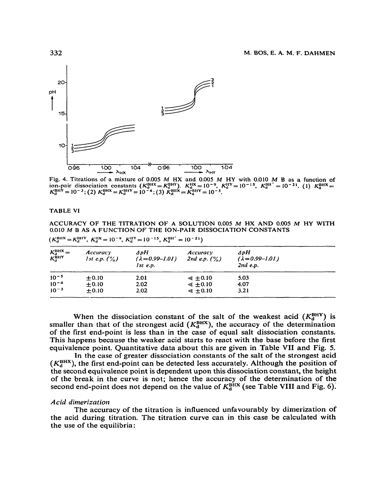

Fig. 4. Titrations of a mixture of 0.005 M HX and 0.005 M HY with 0.010 M B as a function of ion-pair dissociation constants  $(K_d^{\text{BHX}} = K_d^{\text{BHY}})$ .  $K_d^{\text{HX}} = 10^{-9}$ ,  $K_d^{\text{HY}} = 10^{-15}$ ,  $K_d^{\text{BH}} = 10^{-21}$ . (1)  $K_d^{\text{BHX$ 

## **TABLE VI**

ACCURACY OF THE TITRATION OF A SOLUTION 0.005 M HX AND 0.005 M HY WITH 0.010 M B AS A FUNCTION OF THE ION-PAIR DISSOCIATION CONSTANTS

| $K_d^{\text{BHX}} =$<br>$K_{\alpha}^{\text{BHY}}$ | <i>Accuracy</i><br><i>lst e.p.</i> $(\%)$ | $\Delta pH$<br>$(\lambda = 0.99 - 1.01)$<br>$1st$ e.p. | Accuracy<br>2nd e.p. $($ % $)$ | ⊿pH<br>$(\lambda = 0.99 - 1.01)$<br>$2nd$ e.p. |
|---------------------------------------------------|-------------------------------------------|--------------------------------------------------------|--------------------------------|------------------------------------------------|
| $10^{-5}$                                         | $+0.10$                                   | 2.01                                                   | $\leq 0.10$                    | 5.03                                           |
| $10^{-4}$                                         | ± 0.10                                    | 2.02                                                   | $\leq \pm 0.10$                | 4.07                                           |
| $10^{-3}$                                         | ±0.10                                     | 2.02                                                   | $\leq 0.10$                    | 3.21                                           |

 $(K_d^{\text{BHX}} = K_d^{\text{BHY}}, K_d^{\text{HX}} = 10^{-9}, K_d^{\text{HY}} = 10^{-15}, K_d^{\text{BH}} = 10^{-21})$ 

When the dissociation constant of the salt of the weakest acid  $(K_d^{\text{BHY}})$  is smaller than that of the strongest acid  $(K_d^{\text{BHX}})$ , the accuracy of the determination of the first end-point is less than in the case of equal salt dissociation constants. This happens because the weaker acid starts to react with the base before the first equivalence point. Quantitative data about this are given in Table VII and Fig. 5.

In the case of greater dissociation constants of the salt of the strongest acid  $(K_A^{BHX})$ , the first end-point can be detected less accurately. Although the position of the second equivalence point is dependent upon this dissociation constant, the height of the break in the curve is not; hence the accuracy of the determination of the second end-point does not depend on the value of  $K_d^{\text{BHX}}$  (see Table VIII and Fig. 6).

## Acid dimerization

The accuracy of the titration is influenced unfavourably by dimerization of the acid during titration. The titration curve can in this case be calculated with the use of the equilibria: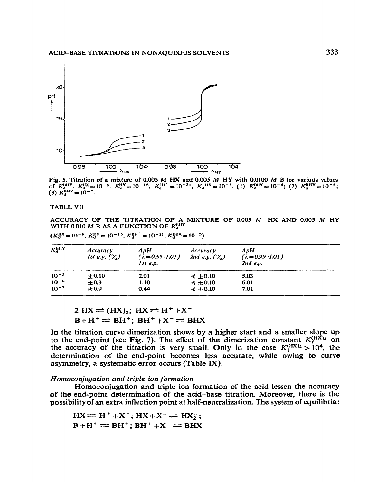

Fig. 5. Titration of a mixture of 0.005 M HX and 0.005 M HY with 0.0100 M B for various values<br>of  $K_d^{\text{BHY}}$ .  $K_d^{\text{HX}} = 10^{-9}$ ,  $K_d^{\text{HY}} = 10^{-15}$ ,  $K_d^{\text{BH}} = 10^{-21}$ ,  $K_d^{\text{BHX}} = 10^{-5}$ . (1)  $K_d^{\text{BHY}} = 10^{-5}$ ; (2)

**TABLE VII** 

ACCURACY OF THE TITRATION OF A MIXTURE OF 0.005  $M$  HX AND 0.005  $M$  HY WITH 0.010  $M$  B AS A FUNCTION OF  $K_{\rm d}^{\rm BHY}$ 

 $(K_{d}^{\text{HX}} = 10^{-9}, K_{d}^{\text{HY}} = 10^{-15}, K_{d}^{\text{BH}} = 10^{-21}, K_{d}^{\text{BHX}} = 10^{-5})$ 

| $K_d^{\text{HHY}}$ | Accuracy<br>1st e.p. $(\%)$ | $\boldsymbol{\Delta}$ p $\boldsymbol{H}$<br>$(\lambda = 0.99 - 1.01)$<br>Ist e.p. | Accuracy<br>2nd e.p. $(\%)$ | $\Delta pH$<br>$(\lambda = 0.99 - 1.01)$<br>$2nd$ e.p. |  |
|--------------------|-----------------------------|-----------------------------------------------------------------------------------|-----------------------------|--------------------------------------------------------|--|
| $10^{-5}$          | ± 0.10                      | 2.01                                                                              | $\leq$ $\pm$ 0.10           | 5.03                                                   |  |
| $10^{-6}$          | ± 0.3                       | 1.10                                                                              | $\leq \pm 0.10$             | 6.01                                                   |  |
| $10^{-7}$          | ±0.9                        | 0.44                                                                              | $\leq 0.10$                 | 7.01                                                   |  |

$$
2 HX = (HX)_2; HX \rightleftharpoons H^+ + X^-
$$
  

$$
B + H^+ \rightleftharpoons BH^+; BH^+ + X^- \rightleftharpoons BHX
$$

In the titration curve dimerization shows by a higher start and a smaller slope up to the end-point (see Fig. 7). The effect of the dimerization constant  $K_f^{(H\bar{X})_2}$  on the accuracy of the titration is very small. Only in the case  $K_f^{(H X)_2} > 10^4$ , the determination of the end-point becomes less accurate, while owing to curve asymmetry, a systematic error occurs (Table IX).

## Homoconjugation and triple ion formation

Homoconjugation and triple ion formation of the acid lessen the accuracy of the end-point determination of the acid-base titration. Moreover, there is the possibility of an extra inflection point at half-neutralization. The system of equilibria:

 $HX \rightleftharpoons H^+ + X^-$ ;  $HX + X^- \rightleftharpoons H X^-$ ;  $B+H^+ \rightleftharpoons BH^+$ ;  $BH^+ + X^- \rightleftharpoons BHX$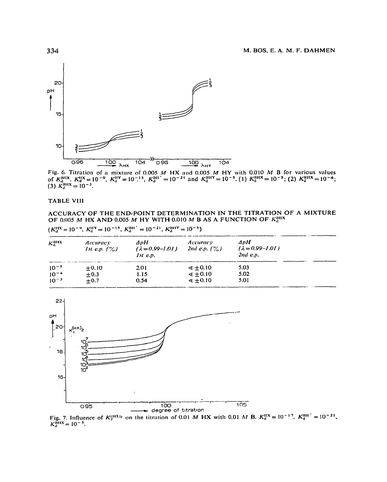

Fig. 6. Titration of a mixture of 0.005 M HX and 0.005 M HY with 0.010 M B for various values<br>of  $K_d^{\text{HIX}}$ ,  $K_d^{\text{HX}} = 10^{-9}$ ,  $K_d^{\text{HY}} = 10^{-15}$ ,  $K_d^{\text{HII}} = 10^{-21}$  and  $K_d^{\text{HIIY}} = 10^{-5}$ . (1)  $K_d^{\text{HIX}} = 10^{-5}$ ; (

#### **TABLE VIII**

 $10^{-5}$ 

 $10^{-4}$ 

 $10^{-3}$ 

 $±0.10$ 

 $±0.3$ 

 $\pm$ 0.7

#### ACCURACY OF THE END-POINT DETERMINATION IN THE TITRATION OF A MIXTURE OF 0.005 M HX AND 0.005 M HY WITH 0.010 M B AS A FUNCTION OF  $K_d^{\text{BUX}}$

 $\leq \pm 0.10$ 

 $\leq \pm 0.10$ 

 $\leq \pm 0.10$ 

5.03

5.02

5.01

|     |                          | $(K_{n}^{n}) = 10^{-2}$ , $K_{n}^{n+1} = 10^{-11}$ , $K_{n}^{n+1} = 10^{-21}$ , $K_{n}^{n+1} = 10^{-1}$ |                             |                                                    |
|-----|--------------------------|---------------------------------------------------------------------------------------------------------|-----------------------------|----------------------------------------------------|
| кшк | Accuracy<br>1st e.p. (%) | ⊿nH<br>$(\lambda = 0.99 - 1.01)$<br>Ist e.p.                                                            | Accuracy<br>2nd e.p. $(\%)$ | 4 n H<br>$( \lambda = 0.99 - 1.01 )$<br>$2nd$ e.p. |

 $(1.118 - 10.08 - 10.018 - 10.015 - 10.017)$   $(0.018 - 10.018)$ 

2.01

1.15

 $0.54$ 



Fig. 7. Influence of  $K_t^{(H X)_2}$  on the titration of 0.01 M HX with 0.01 M B.  $K_d^{H X} = 10^{-17}$ ,  $K_d^{BH'} = 10^{-21}$ ,  $K_{d}^{\text{H4X}} = 10^{-5}$ .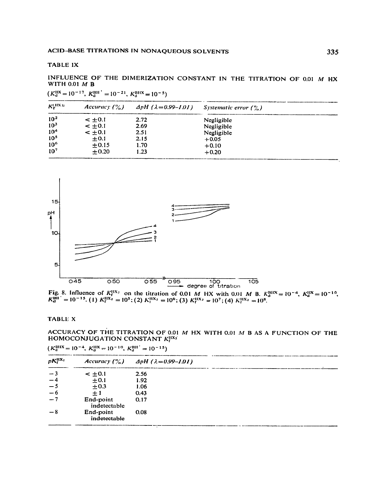#### **TABLE IX**

INFLUENCE OF THE DIMERIZATION CONSTANT IN THE TITRATION OF 0.01 M HX **WITH 0.01 M B** 

 $(K_d^{\text{HX}} = 10^{-17}, K_d^{\text{BH}}^{\prime} = 10^{-21}, K_d^{\text{BHX}} = 10^{-5})$ 

| $K_r^{\text{(IR)}}$ | Accuracy $($ % $)$ | $\Delta pH$ ( $\lambda = 0.99 - 1.01$ ) | Systematic error $( \%)$ |
|---------------------|--------------------|-----------------------------------------|--------------------------|
| 10 <sup>2</sup>     | $- +0.1$           | 2.72                                    | Negligible               |
| 10 <sup>3</sup>     | $-1.04$            | 2.69                                    | Negligible               |
| 10 <sup>4</sup>     | $-10.1$            | 2.51                                    | Negligible               |
| 10 <sup>5</sup>     | $\pm 0.1$          | 2.15                                    | $+0.05$                  |
| 10 <sup>6</sup>     | $+0.15$            | 1.70                                    | $+0.10$                  |
| 10 <sup>7</sup>     | $+0.20$            | 1.23                                    | $+0.20$                  |



Fig. 8. Influence of  $K_1^{11X_2}$  on the titration of 0.01 M HX with 0.01 M B.  $K_d^{B11X} = 10^{-4}$ ,  $K_d^{11X} = 10^{-15}$ . (1)  $K_1^{11X_2} = 10^5$ ; (2)  $K_1^{11X_2} = 10^6$ ; (3)  $K_1^{11X_2} = 10^7$ ; (4)  $K_1^{11X_2} = 10^8$ .

#### **TABLE X**

ACCURACY OF THE TITRATION OF 0.01 M HX WITH 0.01 M B AS A FUNCTION OF THE HOMOCONJUGATION CONSTANT  $K_t^{H X z}$ 

| $pK_1^{\text{HX}_2}$ |                           | Accuracy $(\%)$ $\Delta pH$ ( $\lambda = 0.99 - 1.01$ ) |  |
|----------------------|---------------------------|---------------------------------------------------------|--|
| $-3$                 | $- + 0.1$                 | 2.56                                                    |  |
| $-4$                 | $\pm 0.1$                 | 1.92                                                    |  |
| $-5$                 | $+0.3$                    | 1.06                                                    |  |
| $-6$                 | $+1$                      | 0.43                                                    |  |
| $-7$                 | End-point<br>indetectable | 0.17                                                    |  |
| $-8$                 | End-point<br>indetectable | 0.08                                                    |  |

 $(K_d^{\text{BHX}} = 10^{-4}, K_d^{\text{HX}} = 10^{-10}, K_d^{\text{BH}} = 10^{-15})$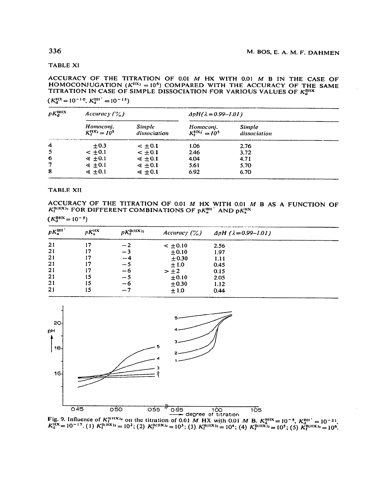#### **TABLE XI**

ACCURACY OF THE TITRATION OF 0.01 M HX WITH 0.01 M B IN THE CASE OF HOMOCONJUGATION ( $K^{HX_2} = 10^5$ ) COMPARED WITH THE ACCURACY OF THE SAME TITRATION IN CASE OF SIMPLE DISSOCIATION FOR VARIOUS VALUES OF Kally

 $(K_d^{\text{HX}} = 10^{-10}, K_d^{\text{BH}} = 10^{-15})$ 

|                                  | Accuracy $(\%)$                      |                                     | $\Delta pH(\lambda = 0.99 - 1.01)$ |  |  |
|----------------------------------|--------------------------------------|-------------------------------------|------------------------------------|--|--|
| Homoconi.<br>$K_1^{0X_2} = I0^5$ | <i><b>Simple</b></i><br>dissociation | Homoconi.<br>$K^{MAX}_{c} = 10^{5}$ | <b>Simple</b><br>dissociation      |  |  |
| $+0.3$                           | $- + 0.1$                            | 1.06                                | 2.76                               |  |  |
| $< \pm 0.1$                      | $- +0.1$                             | 2.46                                | 3.72                               |  |  |
| $\leq 0.1$                       | $\leqslant$ $\pm$ 0.1                | 4.04                                | 4.71                               |  |  |
| $\leq$ $\pm$ 0.1                 | $\leqslant +0.1$                     | 5.61                                | 5.70                               |  |  |
| $\leq 0.1$                       | $\leqslant$ +0.1                     | 6.92                                | 6.70                               |  |  |
|                                  |                                      |                                     |                                    |  |  |

**TABLE XII** 

# ACCURACY OF THE TITRATION OF 0.01 *M* HX WITH 0.01 *M* B AS A FUNCTION OF  $K_f^{\text{B(HX)}}$  FOR DIFFERENT COMBINATIONS OF  $pK_a^{\text{B(H)}}$  AND  $pK_a^{\text{HX}}$

 $(K_{d}^{\text{BHX}}=10^{-5})$ 

| $pK_a^{\text{BH}}$ | $pK_a^{\rm HX}$ | $pK_t^{\text{B(HX)}_2}$ | Accuracy $($ % $)$ | $\Delta pH$ ( $\lambda = 0.99 - 1.01$ ) |  |
|--------------------|-----------------|-------------------------|--------------------|-----------------------------------------|--|
| 21                 | 17              | $-2$                    | $< \pm 0.10$       | 2.56                                    |  |
| 21                 | 17              | $-3$                    | ± 0.10             | 1.97                                    |  |
| 21                 | 17              | $-4$                    | $+0.30$            | 1.11                                    |  |
| 21                 | 17              | $-5$                    | $\pm 1.0$          | 0.45                                    |  |
| 21                 | 17              | $-6$                    | $>\pm 2$           | 0.15                                    |  |
| 21                 | 15              | $-5$                    | $\pm 0.10$         | 2.05                                    |  |
| 21                 | 15              | -- 6                    | $\pm 0.30$         | 1.12                                    |  |
| 21                 | 15              | $-7$                    | ±1.0               | 0.44                                    |  |



Fig. 9. Influence of  $K_l^{U(11X)}$  on the titration of 0.01 M HX with 0.01 M B.  $K_d^{U(11X)} = 10^{-5}$ ,  $K_d^{B11'} = 10^{-21}$ ,  $K_d^{H2} = 10^{-17}$ . (1)  $K_l^{B(HX)} = 10^2$ ; (2)  $K_l^{B(HX)} = 10^3$ ; (3)  $K_l^{B(HX)} = 10^4$ ; (4)  $K_l^{B(HX)} = 10^5$ ; (5

## 336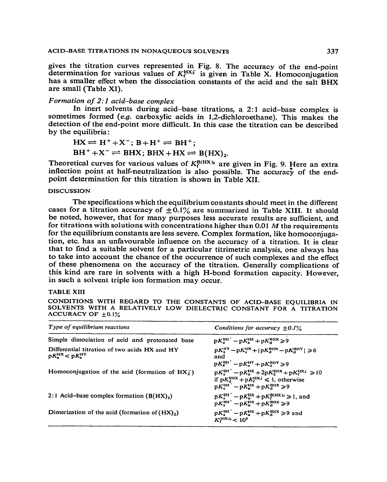gives the titration curves represented in Fig. 8. The accuracy of the end-point determination for various values of  $K_f^{HX_2}$  is given in Table X. Homoconjugation has a smaller effect when the dissociation constants of the acid and the salt BHX are small (Table XI).

## *Formation of 2:1 acid-base complex*

In inert solvents during acid-base titrations, a 2:l acid-base complex is sometimes formed (e.g. carboxylic acids in 1,2-dichloroethane). This makes the detection of the end-point more difficult. In this case the titration can be described by the equilibria:

$$
HX \rightleftharpoons H^+ + X^-; B + H^+ \rightleftharpoons BH^+; BH^+ + X^- \rightleftharpoons BHX; BHX + HX \rightleftharpoons B(HX)2.
$$

Theoretical curves for various values of  $K_f^{B(HX)_2}$  are given in Fig. 9. Here an extra inflection point at half-neutralization is also possible. The accuracy of the endpoint determination for this titration is shown in Table XII.

## **DISCUSSION**

The specifications which the equilibrium constants should meet in the different cases for a titration accuracy of  $\pm 0.1\%$  are summarized in Table XIII. It should be noted, however, that for many purposes less accurate results are sufficient, and for titrations with solutions with concentrations higher than 0.01  $M$  the requirements for the equilibrium constants are less severe. Complex formation, like homoconjugation, etc. has an unfavourable influence on the accuracy of a titration. It is clear that to find a suitable solvent for a particular titrimetric analysis, one always has to take into account the chance of the occurrence of such complexes and the effect of these phenomena on the accuracy of the titration. Generally complications of this kind are rare in solvents with a high H-bond formation capacity. However, in such a solvent triple ion formation may occur.

## **TABLE XIII**

**CONDITIONS WITH REGARD TO THE CONSTANTS OF ACID-BASE EQUILIBRIA IN SOLVENTS WITH A RELATIVELY LOW DIELECTRIC CONSTANT FOR A TITRATION**  ACCURACY OF  $\pm 0.1\%$ 

| Type of equilibrium reactions                                                    | Conditions for accuracy $\pm 0.1\%$                                                                                                                                                |
|----------------------------------------------------------------------------------|------------------------------------------------------------------------------------------------------------------------------------------------------------------------------------|
| Simple dissociation of acid and protonated base                                  | $pK_{a}^{BH} - pK_{a}^{HX} + pK_{a}^{BHX} \ge 9$                                                                                                                                   |
| Differential titration of two acids HX and HY<br>$pK_n^{\rm HX} < pK_n^{\rm HY}$ | $pK_n^{\text{HV}} - pK_n^{\text{HX}} +  pK_n^{\text{BHX}} - pK_n^{\text{BHY}}  \ge 6$<br>and<br>$pK_a^{BH'} - pK_a^{HY} + pK_a^{BHY} \ge 9$                                        |
| Homoconjugation of the acid (formation of $HX_2^-$ )                             | $pK_a^{BH'} - pK_a^{HX} + 2pK_a^{BHX} + pK_f^{HX_2} \ge 10$<br>if $pK_d^{\text{HIX}} + pK_f^{\text{HX}_2} \le 1$ , otherwise<br>$pK_{a}^{BH}$ – $pK_{a}^{HX}$ + $pK_{a}^{BHX}$ > 9 |
| 2:1 Acid-base complex formation $(B(HX),))$                                      | $pK_{n}^{BH'} - pK_{n}^{HX} + pK_{n}^{B(HX)} \ge 1$ , and<br>$pK_{n}^{BH'} - pK_{n}^{HK} + pK_{n}^{BH} > 9$                                                                        |
| Dimerization of the acid (formation of $(HX)_2$ )                                | $pK_a^{BH'} - pK_a^{HX} + pK_a^{BHX} \ge 9$ and<br>$K^{\text{(HIX)}_2} < 10^5$                                                                                                     |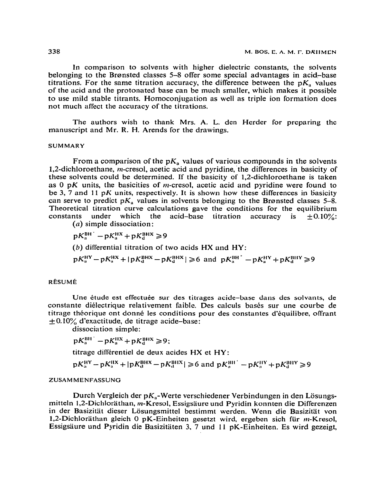**In** comparison to solvents with higher dielectric constants, the solvents belonging to the Bronsted classes 5-8 offer some special advantages in acid\_base titrations. For the same titration accuracy, the difference between the  $pK_a$  values **of the acid and the protonated base can be much** smalter, which makes it possible to use mild stable titrants. Homoconjugation as well as triple ion formation does not much affect the accuracy of the titrations.

**The** authors wish to thank Mrs. A. L. den Herder for preparing the manuscript and Mr. R. H. Arends for the drawings.

#### **SUMMARY**

From a comparison of the  $pK_a$  values of various compounds in the solvents  $1,2$ -dichloroethane, *m*-cresol, acetic acid and pyridine, the differences in basicity of these solvents could be determined. If the basicity of 1,2-dichloroethane is taken as 0 pK units, the basicities of *m*-cresol, acetic acid and pyridine were found to be 3, 7 and 11 pK units, respectively. It is shown how these differences in basicity can serve to predict  $pK_n$  values in solvents belonging to the Brønsted classes 5–8. Theoretical titration curve calculations gave the conditions for the equilibrium constants under which the acid-base titration accuracy is  $\pm 0.10\%$ : the acid-base titration accuracy is  $\pm 0.10\%$ :  $(a)$  simple dissociation:

 $pK_{a}^{BH}$  –  $pK_{a}^{HX}$  +  $pK_{d}^{BHX}$   $\geq 9$ 

**(b)** differential titration of two acids HX and HY:

 $pK_a^{HY} - pK_a^{HX} + |pK_a^{BHX} - pK_d^{BHX}| \ge 6$  and  $pK_a^{BH} - pK_a^{HY} + pK_a^{BHY} \ge 9$ 

#### RÉSUMÉ

Une étude est effectuée sur des titrages acide-base dans des solvants, de **constante dielectrique relativement faible. Des calculs bases sur une courbe de**  titrage théorique ont donné les conditions pour des constantes d'équilibre, offrant  $\pm$  0.10% d'exactitude, de titrage acide-base:

**dissociation simple:** 

$$
pK_a^{\rm BH} - pK_a^{\rm HX} + pK_d^{\rm BHX} \geq 9;
$$

**titragc differentiel de deux acides** HX et WY:

$$
pK_a^{\rm HY} - pK_a^{\rm HX} + |pK_d^{\rm BHX} - pK_d^{\rm BHX}| \ge 6
$$
 and  $pK_a^{\rm BH'} - pK_a^{\rm HY} + pK_d^{\rm BHY} \ge 9$ 

#### **ZUSAMMENFASSUNG**

Durch Vergleich der pK<sub>a</sub>-Werte verschiedener Verbindungen in den Lösungsmitteln 1,2-Dichloräthan, m-Kresol, Essigsäure und Pyridin konnten die Differenzen in der Basizität dieser Lösungsmittel bestimmt werden. Wenn die Basizität von 1,2-Dichloräthan gleich 0 pK-Einheiten gesetzt wird, ergeben sich für m-Kresol, **Essigsaure und Pyridin die Basizitiiten 3, 7 und 11 pK-Einheiten. Es wird gezeigt,**